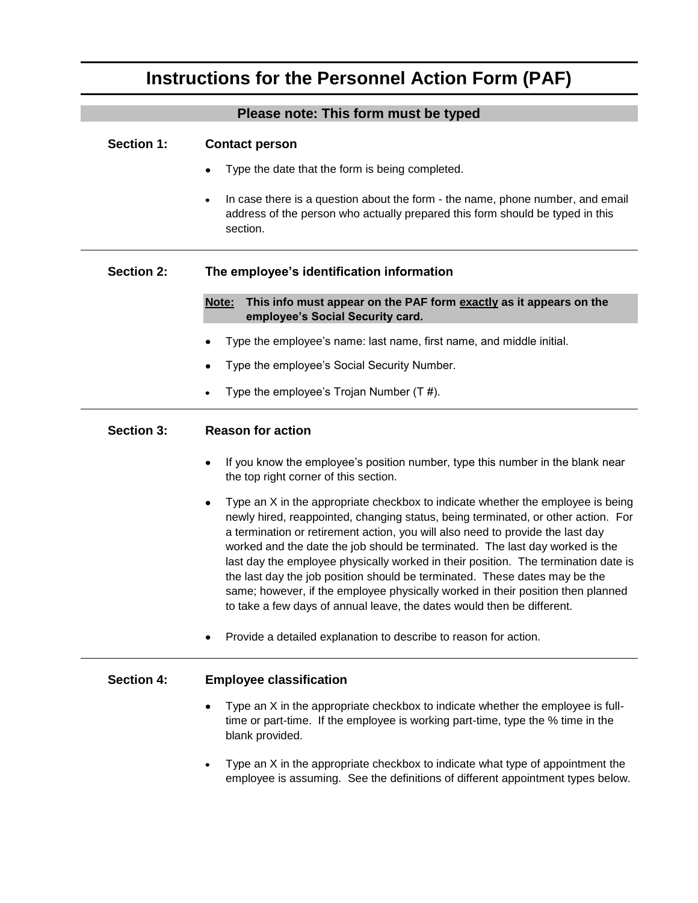# **Instructions for the Personnel Action Form (PAF)**

|                   | Please note: This form must be typed                                                                                                                                                                                                                                                                                                                                                                                                                                                                                                                                                                                                                                    |
|-------------------|-------------------------------------------------------------------------------------------------------------------------------------------------------------------------------------------------------------------------------------------------------------------------------------------------------------------------------------------------------------------------------------------------------------------------------------------------------------------------------------------------------------------------------------------------------------------------------------------------------------------------------------------------------------------------|
| <b>Section 1:</b> | <b>Contact person</b><br>Type the date that the form is being completed.                                                                                                                                                                                                                                                                                                                                                                                                                                                                                                                                                                                                |
|                   | In case there is a question about the form - the name, phone number, and email<br>address of the person who actually prepared this form should be typed in this<br>section.                                                                                                                                                                                                                                                                                                                                                                                                                                                                                             |
| <b>Section 2:</b> | The employee's identification information                                                                                                                                                                                                                                                                                                                                                                                                                                                                                                                                                                                                                               |
|                   | This info must appear on the PAF form exactly as it appears on the<br>Note:<br>employee's Social Security card.                                                                                                                                                                                                                                                                                                                                                                                                                                                                                                                                                         |
|                   | Type the employee's name: last name, first name, and middle initial.                                                                                                                                                                                                                                                                                                                                                                                                                                                                                                                                                                                                    |
|                   | Type the employee's Social Security Number.                                                                                                                                                                                                                                                                                                                                                                                                                                                                                                                                                                                                                             |
|                   | Type the employee's Trojan Number (T#).                                                                                                                                                                                                                                                                                                                                                                                                                                                                                                                                                                                                                                 |
| <b>Section 3:</b> | <b>Reason for action</b>                                                                                                                                                                                                                                                                                                                                                                                                                                                                                                                                                                                                                                                |
|                   | If you know the employee's position number, type this number in the blank near<br>the top right corner of this section.                                                                                                                                                                                                                                                                                                                                                                                                                                                                                                                                                 |
|                   | Type an X in the appropriate checkbox to indicate whether the employee is being<br>newly hired, reappointed, changing status, being terminated, or other action. For<br>a termination or retirement action, you will also need to provide the last day<br>worked and the date the job should be terminated. The last day worked is the<br>last day the employee physically worked in their position. The termination date is<br>the last day the job position should be terminated. These dates may be the<br>same; however, if the employee physically worked in their position then planned<br>to take a few days of annual leave, the dates would then be different. |
|                   | Provide a detailed explanation to describe to reason for action.                                                                                                                                                                                                                                                                                                                                                                                                                                                                                                                                                                                                        |
| <b>Section 4:</b> | <b>Employee classification</b>                                                                                                                                                                                                                                                                                                                                                                                                                                                                                                                                                                                                                                          |
|                   | Type an X in the appropriate checkbox to indicate whether the employee is full-<br>time or part-time. If the employee is working part-time, type the % time in the<br>blank provided.                                                                                                                                                                                                                                                                                                                                                                                                                                                                                   |
|                   | Type an X in the appropriate checkbox to indicate what type of appointment the<br>employee is assuming. See the definitions of different appointment types below.                                                                                                                                                                                                                                                                                                                                                                                                                                                                                                       |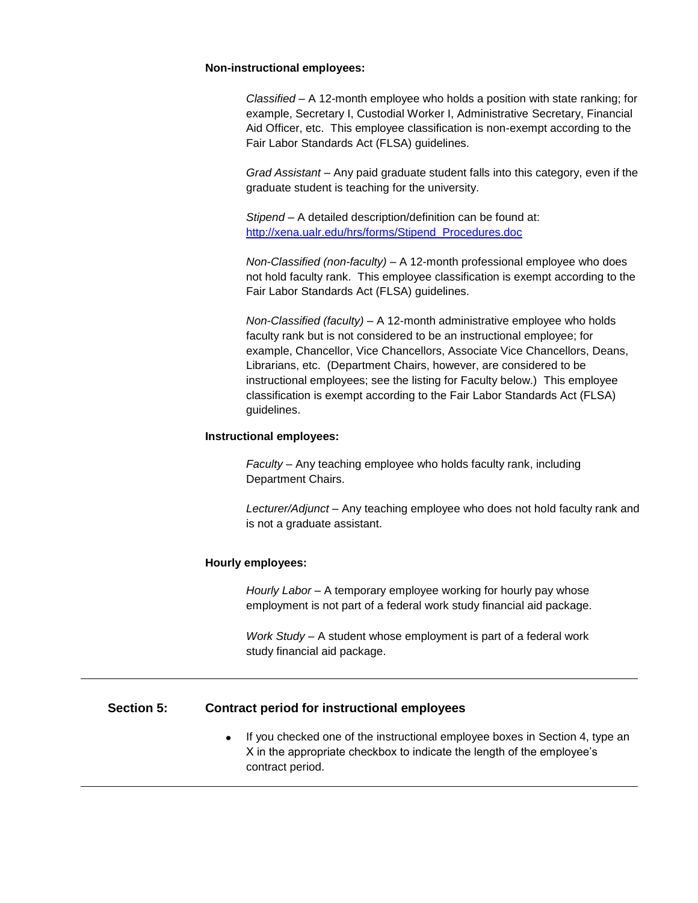#### **Non-instructional employees:**

*Classified –* A 12-month employee who holds a position with state ranking; for example, Secretary I, Custodial Worker I, Administrative Secretary, Financial Aid Officer, etc. This employee classification is non-exempt according to the Fair Labor Standards Act (FLSA) guidelines.

*Grad Assistant* – Any paid graduate student falls into this category, even if the graduate student is teaching for the university.

*Stipend* – A detailed description/definition can be found at: [http://xena.ualr.edu/hrs/forms/Stipend\\_Procedures.doc](http://xena.ualr.edu/hrs/forms/Stipend_Procedures.doc)

*Non-Classified (non-faculty)* – A 12-month professional employee who does not hold faculty rank. This employee classification is exempt according to the Fair Labor Standards Act (FLSA) guidelines.

*Non-Classified (faculty)* – A 12-month administrative employee who holds faculty rank but is not considered to be an instructional employee; for example, Chancellor, Vice Chancellors, Associate Vice Chancellors, Deans, Librarians, etc. (Department Chairs, however, are considered to be instructional employees; see the listing for Faculty below.) This employee classification is exempt according to the Fair Labor Standards Act (FLSA) guidelines.

#### **Instructional employees:**

*Faculty* – Any teaching employee who holds faculty rank, including Department Chairs.

*Lecturer/Adjunct* – Any teaching employee who does not hold faculty rank and is not a graduate assistant.

#### **Hourly employees:**

*Hourly Labor* – A temporary employee working for hourly pay whose employment is not part of a federal work study financial aid package.

*Work Study* – A student whose employment is part of a federal work study financial aid package.

## **Section 5: Contract period for instructional employees**

 $\bullet$ If you checked one of the instructional employee boxes in Section 4, type an X in the appropriate checkbox to indicate the length of the employee's contract period.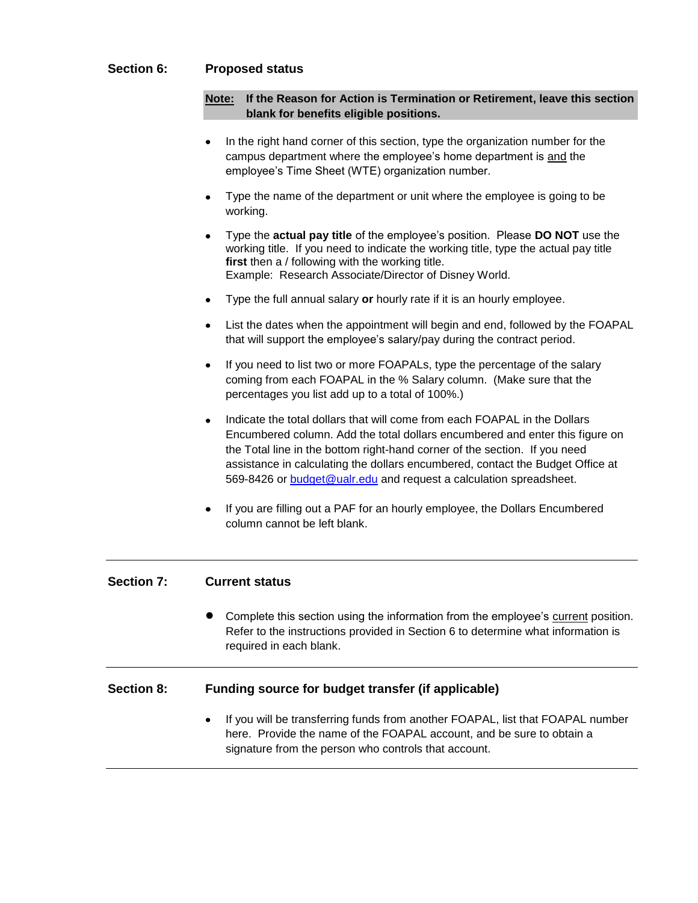# **Section 6: Proposed status**

### **Note: If the Reason for Action is Termination or Retirement, leave this section blank for benefits eligible positions.**

- In the right hand corner of this section, type the organization number for the campus department where the employee's home department is and the employee's Time Sheet (WTE) organization number.
- Type the name of the department or unit where the employee is going to be working.
- Type the **actual pay title** of the employee's position. Please **DO NOT** use the working title. If you need to indicate the working title, type the actual pay title **first** then a / following with the working title. Example: Research Associate/Director of Disney World.
- Type the full annual salary **or** hourly rate if it is an hourly employee.
- List the dates when the appointment will begin and end, followed by the FOAPAL that will support the employee's salary/pay during the contract period.
- If you need to list two or more FOAPALs, type the percentage of the salary coming from each FOAPAL in the % Salary column. (Make sure that the percentages you list add up to a total of 100%.)
- Indicate the total dollars that will come from each FOAPAL in the Dollars Encumbered column. Add the total dollars encumbered and enter this figure on the Total line in the bottom right-hand corner of the section. If you need assistance in calculating the dollars encumbered, contact the Budget Office at 569-8426 or [budget@ualr.edu](mailto:budget@ualr.edu) and request a calculation spreadsheet.
- If you are filling out a PAF for an hourly employee, the Dollars Encumbered column cannot be left blank.

## **Section 7: Current status**

Complete this section using the information from the employee's current position. Refer to the instructions provided in Section 6 to determine what information is required in each blank.

#### **Section 8: Funding source for budget transfer (if applicable)**

If you will be transferring funds from another FOAPAL, list that FOAPAL number here. Provide the name of the FOAPAL account, and be sure to obtain a signature from the person who controls that account.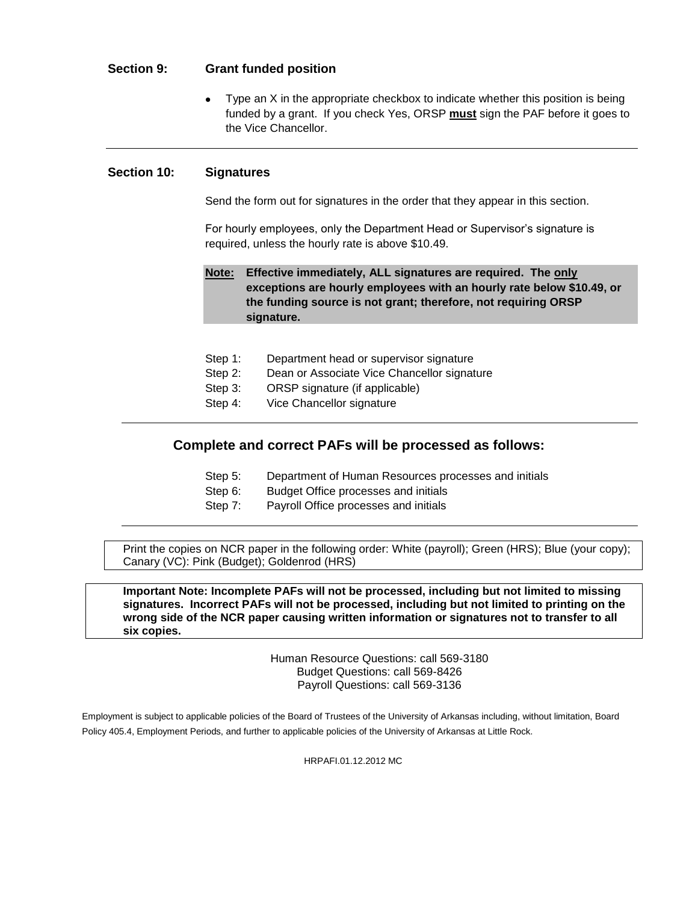# **Section 9: Grant funded position**

Type an X in the appropriate checkbox to indicate whether this position is being funded by a grant. If you check Yes, ORSP **must** sign the PAF before it goes to the Vice Chancellor.

## **Section 10: Signatures**

Send the form out for signatures in the order that they appear in this section.

For hourly employees, only the Department Head or Supervisor's signature is required, unless the hourly rate is above \$10.49.

## **Note: Effective immediately, ALL signatures are required. The only exceptions are hourly employees with an hourly rate below \$10.49, or the funding source is not grant; therefore, not requiring ORSP signature.**

| Step 1: | Department head or supervisor signature |
|---------|-----------------------------------------|
|---------|-----------------------------------------|

- Step 2: Dean or Associate Vice Chancellor signature
- Step 3: ORSP signature (if applicable)
- Step 4: Vice Chancellor signature

# **Complete and correct PAFs will be processed as follows:**

- Step 5: Department of Human Resources processes and initials
- Step 6: Budget Office processes and initials
- Step 7: Payroll Office processes and initials

Print the copies on NCR paper in the following order: White (payroll); Green (HRS); Blue (your copy); Canary (VC): Pink (Budget); Goldenrod (HRS)

**Important Note: Incomplete PAFs will not be processed, including but not limited to missing signatures. Incorrect PAFs will not be processed, including but not limited to printing on the wrong side of the NCR paper causing written information or signatures not to transfer to all six copies.**

> Human Resource Questions: call 569-3180 Budget Questions: call 569-8426 Payroll Questions: call 569-3136

Employment is subject to applicable policies of the Board of Trustees of the University of Arkansas including, without limitation, Board Policy 405.4, Employment Periods, and further to applicable policies of the University of Arkansas at Little Rock.

HRPAFI.01.12.2012 MC